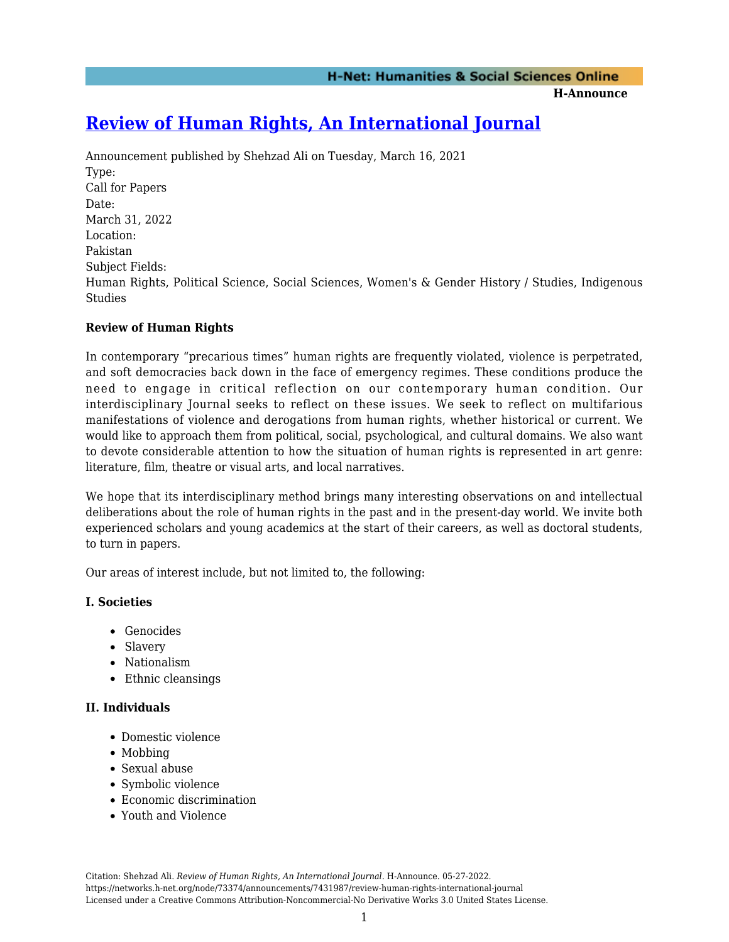**H-Announce** 

# **[Review of Human Rights, An International Journal](https://networks.h-net.org/node/73374/announcements/7431987/review-human-rights-international-journal)**

Announcement published by Shehzad Ali on Tuesday, March 16, 2021 Type: Call for Papers Date: March 31, 2022 Location: Pakistan Subject Fields: Human Rights, Political Science, Social Sciences, Women's & Gender History / Studies, Indigenous **Studies** 

## **Review of Human Rights**

In contemporary "precarious times" human rights are frequently violated, violence is perpetrated, and soft democracies back down in the face of emergency regimes. These conditions produce the need to engage in critical reflection on our contemporary human condition. Our interdisciplinary Journal seeks to reflect on these issues. We seek to reflect on multifarious manifestations of violence and derogations from human rights, whether historical or current. We would like to approach them from political, social, psychological, and cultural domains. We also want to devote considerable attention to how the situation of human rights is represented in art genre: literature, film, theatre or visual arts, and local narratives.

We hope that its interdisciplinary method brings many interesting observations on and intellectual deliberations about the role of human rights in the past and in the present-day world. We invite both experienced scholars and young academics at the start of their careers, as well as doctoral students, to turn in papers.

Our areas of interest include, but not limited to, the following:

## **I. Societies**

- Genocides
- Slavery
- Nationalism
- Ethnic cleansings

## **II. Individuals**

- Domestic violence
- Mobbing
- Sexual abuse
- Symbolic violence
- Economic discrimination
- Youth and Violence